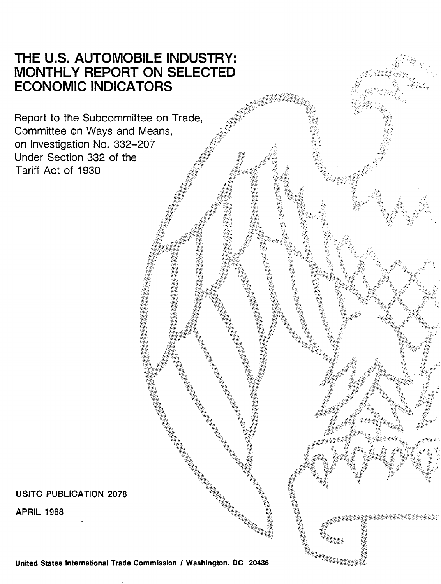# **THE U.S. AUTOMOBILE INDUSTRY: MONTHLY REPORT ON SELECTED ECONOMIC INDICATORS**

 $` \cdot .$ 

Report to the Subcommittee on Trade, Committee on Ways and Means, on Investigation No. 332-207 Under Section 332 of the Tariff Act of 1930

USITC PUBLICATION 2078

APRIL 1988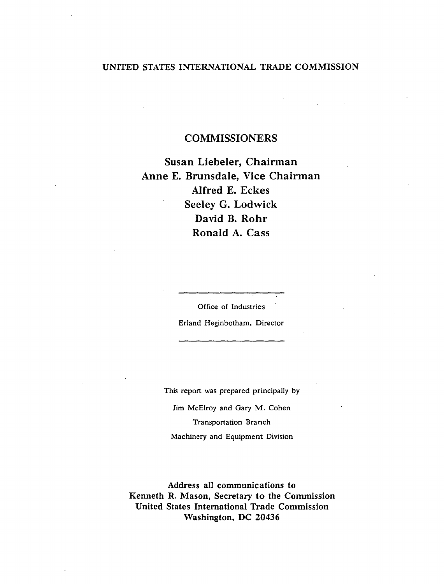### UNITED STATES INTERNATIONAL TRADE COMMISSION

# COMMISSIONERS

Susan Liebeler, Chairman Anne E. Brunsdale, Vice Chairman Alfred E. Eckes Seeley G. Lodwick David B. Rohr Ronald A. Cass

> Office of Industries Erland Heginbotham, Director

This report was prepared principally by

Jim McElroy and Gary M. Cohen Transportation Branch Machinery and Equipment Division

Address all communications to Kenneth R. Mason, Secretary to the Commission United States International Trade Commission Washington, DC 20436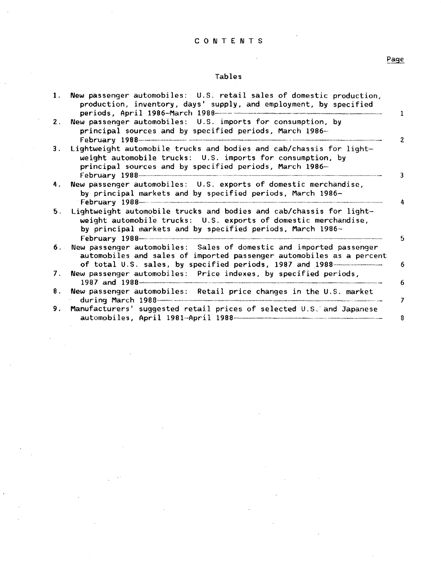## Tables

 $\sim$ 

 $\bar{\beta}$ 

 $\ddot{\phantom{a}}$ 

 $\sim$ 

| $1 -$ | New passenger automobiles: U.S. retail sales of domestic production,<br>production, inventory, days' supply, and employment, by specified                                                                          |
|-------|--------------------------------------------------------------------------------------------------------------------------------------------------------------------------------------------------------------------|
| 2.    | New passenger automobiles: U.S. imports for consumption, by<br>principal sources and by specified periods, March 1986-<br>$\overline{2}$                                                                           |
| 3.    | Lightweight automobile trucks and bodies and cab/chassis for light-<br>weight automobile trucks: U.S. imports for consumption, by<br>principal sources and by specified periods, March 1986-<br>February 1988<br>3 |
| 4.    | New passenger automobiles: U.S. exports of domestic merchandise,<br>by principal markets and by specified periods, March 1986-                                                                                     |
| 5.    | Lightweight automobile trucks and bodies and cab/chassis for light-<br>weight automobile trucks: U.S. exports of domestic merchandise,<br>by principal markets and by specified periods, March 1986-<br>5.         |
|       | 6. New passenger automobiles: Sales of domestic and imported passenger<br>automobiles and sales of imported passenger automobiles as a percent<br>of total U.S. sales, by specified periods, 1987 and 1988<br>6    |
| 7.    | New passenger automobiles: Price indexes, by specified periods,<br>6                                                                                                                                               |
| 8.    | New passenger automobiles: Retail price changes in the U.S. market<br>during March 1988<br>7                                                                                                                       |
| 9.    | Manufacturers' suggested retail prices of selected U.S. and Japanese<br>8                                                                                                                                          |

 $\ddot{\phantom{a}}$ 

 $\ddot{\phantom{0}}$ 

Page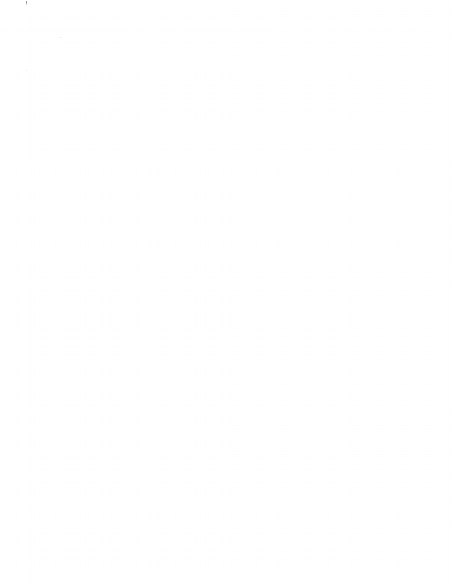$\mathcal{L}^{\text{max}}_{\text{max}}$  and  $\mathcal{L}^{\text{max}}_{\text{max}}$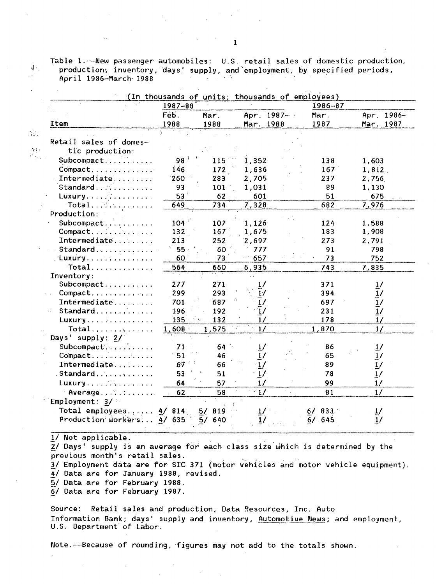Table 1.-New passenger automobiles: U.S. retail sales of domestic production, production, inventory, days' supply, and employment, by specified periods, April 1986-March 1988

|                | 1986-87        |            |                  |              | $1987 - 88$       |                                                     |
|----------------|----------------|------------|------------------|--------------|-------------------|-----------------------------------------------------|
| Apr. 1986-     | Mar.           | Apr. 1987- |                  | Mar.         | Feb.              |                                                     |
| Mar. 1987      | 1987           |            | Mar. 1988        | 1988         | 1988              | Item                                                |
|                |                |            |                  |              |                   |                                                     |
|                |                |            |                  |              |                   | Retail sales of domes-                              |
|                |                |            |                  |              |                   | tic production:                                     |
| 1,603          | 138            |            | 1,352            | 115          | 98 <sup>1</sup>   | Subcompact                                          |
| 1,812          | 167            |            | 1,636            | 172          | 146               | Compact                                             |
| 2,756          | 237            |            | 2,705            | 283          | 260               | Intermediate                                        |
| 1,130          | 89             |            | 1,031            | 101          | 93                | Standard                                            |
| 675            | 51             |            | 601              | 62           | 53 <sup>2</sup>   | Luxury                                              |
| 7,976          | 682            |            | 7,328            | 734          | 649               | Total                                               |
|                |                |            |                  |              |                   | Production:                                         |
| 1,588          | 124            |            | 1,126            | 107          | $104$ <sup></sup> | Subcompact                                          |
| 1,908          | 183            |            | 1,675            | 167          | 132               | Compact                                             |
| 2,791          | 273            |            | 2,697            | 252          | 213               | Intermediate                                        |
| 798            | 91             |            | 777              | 60           | 55                | Standard                                            |
| 752            | 73             |            | $-657$           | 73           | $60^{\degree}$    | $\mathcal{L}$ Luxury                                |
| 7,835          | 743            |            | 6,935            | 660          | 564               | $Total$                                             |
|                |                |            |                  |              |                   | Inventory:                                          |
|                | 371            |            | $\overline{1}$ / | 271          | 277               | Subcompact                                          |
| $\frac{1}{1}$  | 394            |            |                  | 293          | 299               | Compact                                             |
|                | 697            |            | $\frac{1}{1}$    | 79<br>687    | 701               | Intermediate                                        |
| $\frac{1}{1}$  | 231            |            |                  | 192          | 196               | Standard                                            |
| $\overline{1}$ | 178            |            | $\overline{1}$   | 132          | 135               | Luxury                                              |
| 1/             | 1,870          |            | 1/               | 1,575        | ,608.             | Total                                               |
|                |                |            |                  |              |                   | Days' supply: 2/                                    |
|                | 86             |            |                  | $64 -$       | 71                | Subcompact                                          |
| $\frac{1}{1}$  | 65             |            | $\frac{1}{1}$ /  | 46           | 51                | Compact                                             |
| $\frac{1}{2}$  | 89             |            | $\frac{1}{2}$    | 66           | 67                | Intermediate                                        |
| 1/             | 78             |            | 1/               | 51           | 53                | Standard                                            |
| 1/             | 99             |            | 1/               | 57           | 64                | Luxury                                              |
| 1/             | 81             |            | 1/               | 58           | 62                | : Average                                           |
|                |                |            |                  |              |                   | Employment: 3/ 4                                    |
|                |                |            |                  |              |                   |                                                     |
| $\frac{1}{1}$  |                |            |                  |              |                   |                                                     |
|                | 6/833<br>6/645 |            | 17               | 5/819<br>640 | 5/                | Total employees 4/ 814<br>Production workers 4/ 635 |

1/ Not applicable.

 $\frac{1}{2}$  .

 $\frac{1}{2}$ 

2/ Days' supply is an average for each class size which is determined by the previous month's retail sales.

3/ Employment data are for SIC 371 (motor vehicles and motor vehicle equipment). 4/ Data are for January 1988, revised.

5/ Data are for February 1988.

6/ Data are for February 1987.

Source: Retail sales and production, Data Resources, Inc. Auto Information Bank; days' supply and inventory, Automotive News; and employment, U.S. Department of Labor.

Note.--Because of rounding, figures may not add to the totals shown.

 $\mathbf{I}$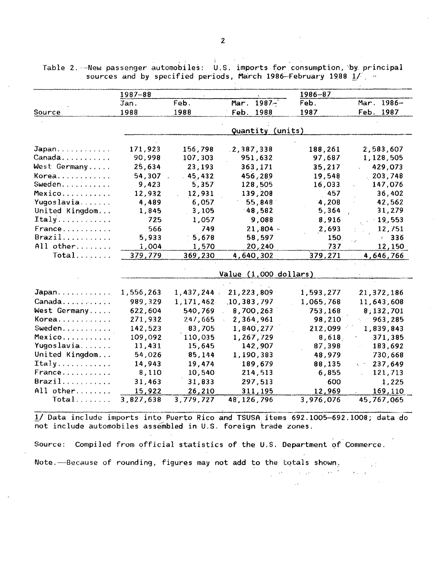. . . Table 2. ·····New passenger automobiles: U.S. imports for consumption, ··by. principal sources and by specified periods, March 1986-February 1988 1/ ...

|                | 1987-88   |           |                         | 1986-87   |                              |
|----------------|-----------|-----------|-------------------------|-----------|------------------------------|
|                | Jan.      | Feb.      | $1987 -$<br>Mar.        | Feb.      | $1986 -$<br>Mar.             |
| Source         | 1988      | 1988      | Feb.<br>1988            | 1987      | Feb. 1987                    |
|                |           |           |                         |           |                              |
|                |           |           | Quantity (units)        |           |                              |
| Japan          | 171,923   | 156,798   | .2,387,338              | 188,261   | 2,583,607                    |
| Canada         | 90,998    | 107,303   | 951,632                 | 97,687    | 1,128,505                    |
| West Germany   | 25,634    | 23,193    | 363,171                 | 35,217    | 429,073                      |
| Korea          | 54,307    | .45,432   | 456,289                 | 19,548    | 203,748                      |
| Sweden         | 9,423     | 5,357     | 128,505                 | 16,033    | 147,076                      |
| Mexico         | 12,932    | 12,931    | 139,208                 | 457       | 36,402                       |
| Yugoslavia     | 4,489     | 6,057     | 55,848                  | 4,208     | 42,562                       |
| United Kingdom | 1,845     | 3,105     | 148,582                 | 5,364     | 31,279                       |
| Itally         | 725       | 1,057     | 9,088                   | 8,916     | 19,553                       |
| France         | 566       | 749       | $21,804 -$              | 2,693     | 12,751                       |
| Brazil         | 5,933     | 5,678     | 58,597                  | 150       | 336<br>$\mathcal{E}^{\pm}$   |
| All other      | 1,004     | 1,570     | 20,240                  | 737       | 12,150                       |
| Total          | 379,779   | 369,230   | 4,640,302               | 379,271   | 4,646,766                    |
|                |           |           |                         |           |                              |
|                |           |           | Value $(1,000$ dollars) |           |                              |
| Japan          | 1,556,263 | 1,437,244 | 21, 223, 809            | 1,593,277 | 21,372,186                   |
| Canada         | 989,329   | 1,171,462 | 10, 383, 797            | 1,065,768 | 11,643,608                   |
| West Germany   | 622,604   | 540,769   | 8,700,263               | 753,168   | 8,132,701                    |
| Korea          | 271,932   | 247,665   | 2,364,961               | 98,210    | 963,285                      |
| Sweden.        | 142,523   | 83,705    | 1,840,277               | 212,099   | 1,839,843                    |
| Mexico         | 109,092   | 110,035   | 1,267,729               | 8,618,    | 371,385                      |
| Yugoslavia     | 11,431    | 15,645    | 142,907                 | 87,398    | 183,692                      |
| United Kingdom | 54,026    | 85,144    | 1,190,383               | 48,979    | 730,668                      |
| Italy          | 14,943    | 19,474    | 189,679                 | 88,135    | 237,649<br>$\chi^{\rm{max}}$ |
| France         | 8,110     | 10,540    | 214,513                 | 6,855     | 121,713<br>$\mathbf{r}$      |
| Brazil         | 31,463    | 31,833    | 297,513                 | 600       | 1,225                        |
| All other      | 15,922    | 26,210    | 311,195                 | 12,969    | 169,110                      |
| Total          | 3,827,638 | 3,779,727 | 48, 126, 796            | 3,976,076 | 45,767,065                   |

1/ Data include imports into Puerto Rico and TSUSA items 692.1005-692.1008; data do not include automobiles assembled in U.S. foreign trade zones.

 $\sim 10^6$ 

 $\sim$  3  $\mu$  ,  $\sim$ 

 $\frac{1}{2}$  , and  $\frac{1}{2}$  , and  $\frac{1}{2}$  , and  $\frac{1}{2}$ 

 $\ddotsc$ 

Source: Compiled from official statistics of the U.S. Department *qf* Commerce.

Note.--Because of rounding, figures may not add to the totals shown.

2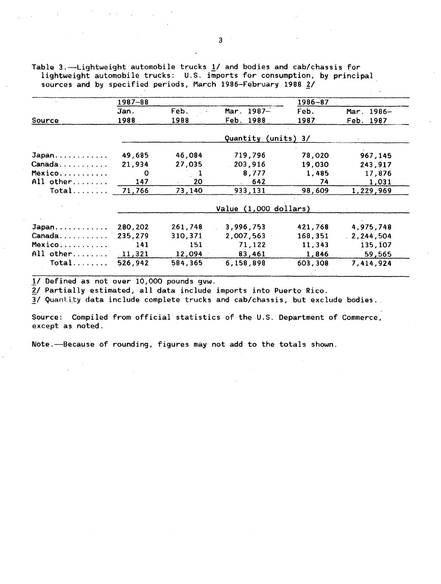Table 3.--Lightweight automobile trucks  $1/$  and bodies and cab/chassis for lightweight automobile trucks: U.S. imports for consumption, by principal sources and by specified periods, March 1986-February 1988 2/

|           | 1987-88   |         |                       | 1986-87 |            |
|-----------|-----------|---------|-----------------------|---------|------------|
|           | Jan.      | Feb.    | $1987 -$<br>Mar.      | Feb.    | Mar. 1986- |
| Source    | 1988      | 1988    | Feb. 1988.            | 1987    | Feb. 1987  |
|           |           |         | Quantity (units) 3/   |         |            |
| Japan     | 49,685    | 46,084  | 719,796               | 78,020  | 967,145    |
| Canada    | 21,934    | 27,035  | 203,916               | 19,030  | 243,917    |
| Mexico    | 0         |         | 8,777                 | 1,485   | 17,876     |
| All other | 147       | 20      | 642                   | 74      | 1,031      |
|           | 71,766    | 73,140  | 933,131               | 98,609  | 1,229,969  |
|           |           |         | Value (1,000 dollars) |         |            |
| Japan     | 280,202   | 261,748 | 3,996,753             | 421,768 | 4,975,748  |
| Canada    | 235,279   | 310,371 | 2,007,563             | 168,351 | 2,244,504  |
| Mexico    | 141       | 151     | 71,122                | 11,343  | 135,107    |
| All other | $-11,321$ | 12,094  | 83,461                | 1,846   | 59,565     |
| Total     | 526,942   | 584,365 | 6,158,898             | 603,308 | 7,414,924  |
|           |           |         |                       |         |            |

*11* Defined as not over 10,000 pounds gvw.

2/ Partially estimated, all data include imports into Puerto Rico.

}/Quantity data include complete trucks and cab/chassis, but exclude bodies.

Source: Compiled from official statistics of the U.S. Department of Commerce, except aa noted.

Note.-Because of rounding, figures may not add to the totals shown.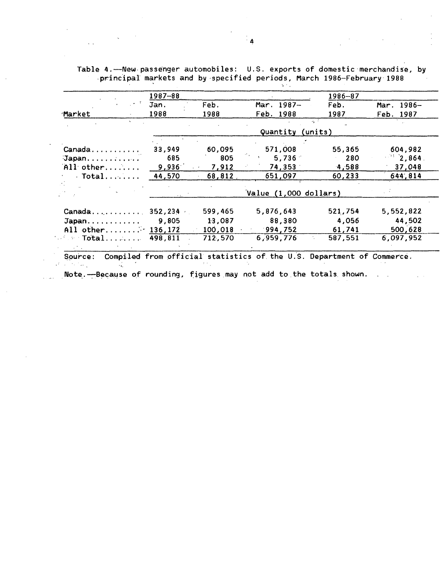Table 4. - New passenger automobiles: U.S. exports of domestic merchandise, by principal markets and by specified periods, March 1986-February 1988  $\Delta \sim 1$ 

|                           | 1987-88 |         |                       | 1986-87 |                     |
|---------------------------|---------|---------|-----------------------|---------|---------------------|
|                           | Jan.    | Feb.    | Mar. 1987-            | Feb.    | 1986-<br>Mar.       |
| Market                    | 1988    | 1988    | Feb. 1988             | 1987    | Feb. 1987           |
|                           |         |         |                       | -51     |                     |
|                           |         |         | Quantity              | (units) |                     |
|                           |         |         |                       |         |                     |
| Canada                    | 33,949  | 60,095  | 571,008               | 55,365  | 604,982             |
| Japan                     | 685     | 805     | 5,736                 | 280     | $\frac{1}{2}$ , 864 |
|                           | 9,936   | 7,912   | 74,353                | 4,588   | 37,048              |
| Total                     | 44,570  | 68,812  | 651,097               | 60,233  | 644,814             |
|                           |         |         |                       |         |                     |
|                           |         |         | Value (1,000 dollars) |         |                     |
| Canada $\ldots$ 352,234   |         | 599,465 | 5,876,643             | 521,754 | 5,552,822           |
| Japan                     | 9,805   | 13,087  | 88,380                | 4,056   | 44,502              |
| All other $\cdot$ 136,172 |         | 100,018 | $-994,752$            | 61,741  | 500,628             |
| <b><i>Commotal</i></b>    | 498.811 | 712,570 | 6,959,776             | 587,551 | 6,097,952           |
|                           |         |         |                       |         |                     |

Note.-Because of rounding, figures may not add to the totals shown.

 $\ddot{\phantom{a}}$ 

 $\sim$   $\sim$ 

 $\mathbf{1}$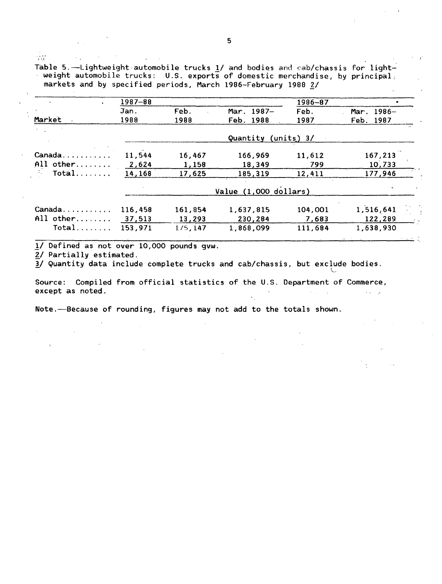Table 5,--Lightweight automobile trucks  $1/$  and bodies and cab/chassis for light-<br>... weight automobile trucks: ILS expects of democie merchandies, by principal weight automobile trucks: U.S. exports of domestic merchandise, by principal, markets and by specified periods, March 1986-February 1988 *ZI* 

|           | 1987-88 |         |                       | 1986-87      |                           |
|-----------|---------|---------|-----------------------|--------------|---------------------------|
|           | Jan.    | Feb.    | Mar. 1987-            | Feb.         | Mar. 1986-                |
| Market    | 1988    | 1988    | Feb. 1988             | 1987         | Feb. 1987                 |
| t in the  |         |         | Quantity              | $(units)$ 3/ |                           |
| Canada    | 11,544  | 16,467  | 166,969               | 11,612       | 167,213                   |
| All other | 2,624   | 1,158   | 18,349                | 799          | 10,733                    |
| Total     | 14,168  | 17,625  | 185,319               | 12,411       | 177,946                   |
|           |         |         | Value (1,000 dollars) |              | $\mathcal{A}_\mathcal{L}$ |
| Canada    | 116,458 | 161,854 | 1,637,815             | 104,001      | 1,516,641                 |
| All other | 37,513  | 13,293  | 230,284               | 7,683        | 122,289                   |
| Total     | 153,971 | 175,147 | 1,868,099             | 111,684      | 1,638,930                 |

*11* Defined as not over 10,000 pounds gvw.

2/ Partially estimated.

 $\mathcal{L}_{\text{max}}$ 

*11* Quantity data include complete trucks and cab/chassis, but exclude bodies.

Source: Compiled from official statistics of the U.S. Department of Commerce, except as noted.  $\alpha$  ,  $\alpha$  ,  $\alpha$ 

 $\sim$ 

Note.---Because of rounding, figures may not add to the totals shown.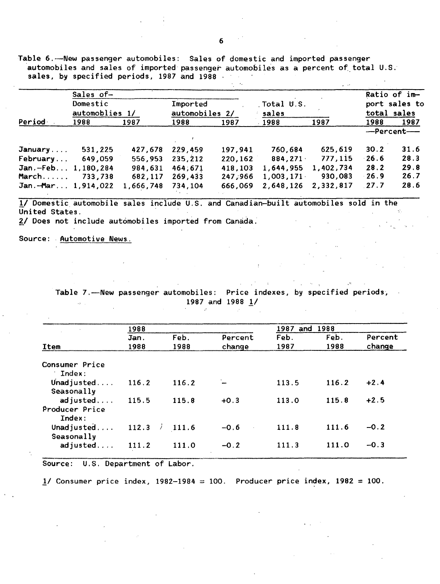Table 6.-New passenger automobiles: Sales of domestic and imported passenger automobiles and sales of imported passenger automobiles as a percent of total U.S. sales, by specified periods, 1987 and 1988

|                    | Sales of-      |           |                |         |                         |           |             | Ratio of im-  |
|--------------------|----------------|-----------|----------------|---------|-------------------------|-----------|-------------|---------------|
|                    | Domestic       |           | Imported       |         | . Total $\emptyset$ .S. |           |             | port sales to |
|                    | automoblies 1/ |           | automobiles 2/ |         | sales                   |           | total sales |               |
| Period             | 1988           | 1987      | 1988           | 1987    | 1988                    | 1987      | 1988        | 1987          |
|                    |                |           |                |         |                         |           |             | ---Percent-   |
| January            | 531,225        | 427,678   | 229,459        | 197,941 | 760.684                 | 625,619   | 30.2        | 31.6          |
| February           | 649,059        | 556,953   | 235.212        | 220,162 | 884, 271                | 777,115   | $-26.6$     | 28.3          |
| Jan.-Feb 1,180,284 |                | 984,631   | 464.671        | 418,103 | 1,644,955               | 1,402,734 | 28.2        | 29.8          |
| March              | 733.738        | 682,117   | 269,433        | 247.966 | 1,003,171               | 930,083   | $-26.9$     | 26.7          |
| Jan.-Mar 1,914,022 |                | 1,666,748 | 734.104        | 666,069 | 2.648.126               | 2,332,817 | 27.7        | 28.6          |

1/ Domestic automobile sales include U.S. and Canadian-built automobiles sold in the United States.  $\Delta\Omega$ 

2/ Does not include automobiles imported from Canada.

 $\sim$ 

Source: Automotive News.

Table 7. - New passenger automobiles: Price indexes, by specified periods, 1987 and 1988 1/  $\Delta \sim 10^{-10}$ 

 $\sim 10^7$ 

 $\sim 10^{-1}$ 

| $\bullet$                                   | 1988         |       |                         | 1987<br>and | 1988  |         |
|---------------------------------------------|--------------|-------|-------------------------|-------------|-------|---------|
|                                             | Jan.         | Feb.  | Percent                 | Feb.        | Feb.  | Percent |
| Item                                        | 1988         | 1988  | change                  | 1987        | 1988  | change  |
| Consumer Price<br>Index:                    |              |       |                         |             |       |         |
| Unadjusted<br>Seasonally                    | 116.2        | 116.2 |                         | 113.5       | 116.2 | $+2.4$  |
| adjusted<br>Producer Price                  | 115.5        | 115.8 | $+0.3$                  | 113.0       | 115.8 | $+2.5$  |
| Index:<br>Unadjusted $\ldots$<br>Seasonally | 112.3<br>- 1 | 111.6 | $-0.6$<br>$\mathcal{L}$ | 111.8       | 111.6 | $-0.2$  |
| adjusted                                    | 111.2        | 111.0 | $-0.2$                  | 111.3       | 111.0 | $-0.3$  |

Source: U.S. Department of Labor.

1/ Consumer price index, 1982-1984 = 100. Producer price index, 1982 = 100.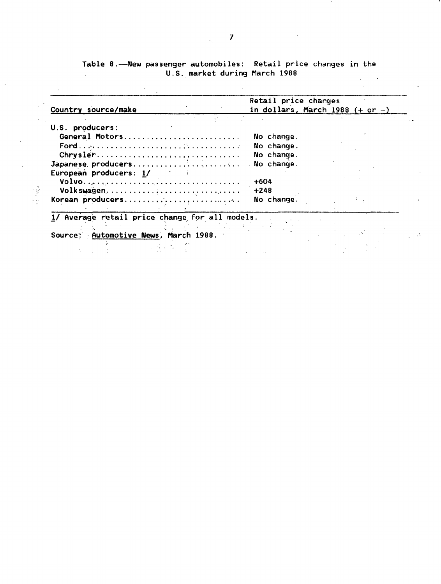Table 8.-New passenger automobiles: Retail price changes in the U.S. market during March 1988  $\hat{\mathbf{v}}$  $\ddot{\phantom{a}}$ 

|                                                | Retail price changes              |  |
|------------------------------------------------|-----------------------------------|--|
| Country source/make                            | in dollars, March 1988 $(+ or -)$ |  |
| U.S. producers:                                |                                   |  |
| General Motors                                 | No change.                        |  |
|                                                | No change.                        |  |
| Chrysler                                       | No change.                        |  |
| Japanese producers                             | No change.                        |  |
| European producers: 1/                         |                                   |  |
|                                                | $+604$                            |  |
|                                                | $+248$                            |  |
|                                                | No change.                        |  |
| 1/ Average retail price change for all models. |                                   |  |
| Source: Automotive News, March 1988.           |                                   |  |
|                                                |                                   |  |

 $\mathcal{L}_{\mathcal{L}}$ 

 $\mathbb{R}^2$